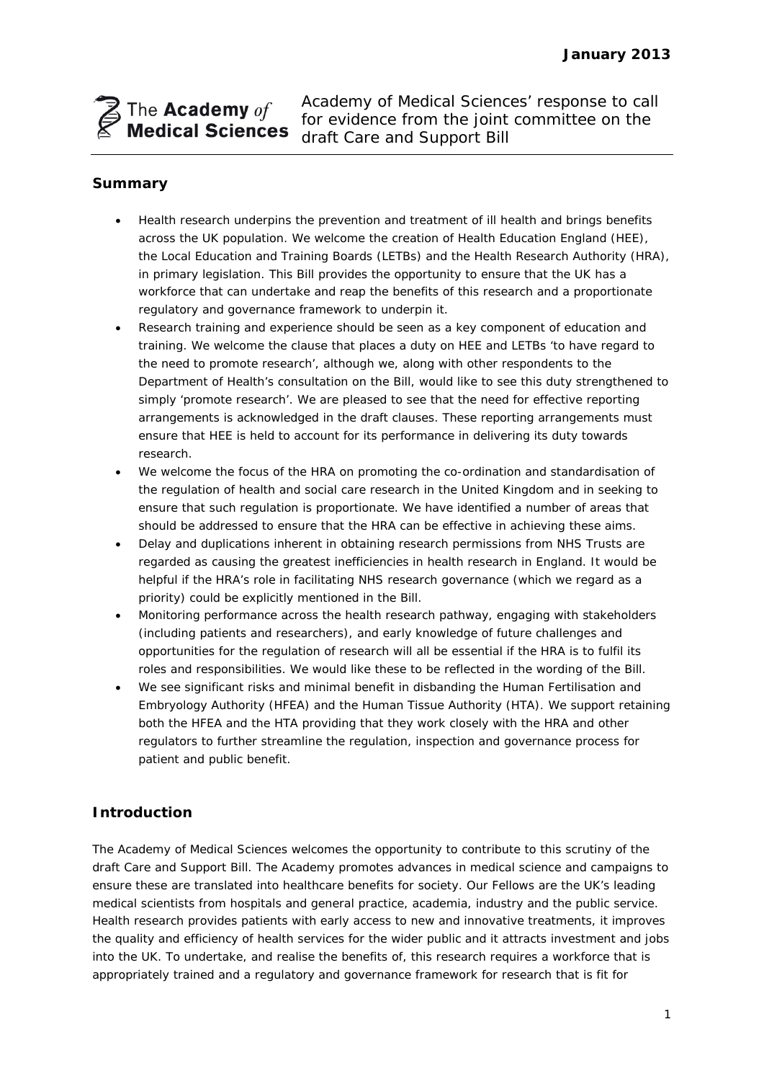

Academy of Medical Sciences' response to call for evidence from the joint committee on the draft Care and Support Bill

# **Summary**

- Health research underpins the prevention and treatment of ill health and brings benefits across the UK population. We welcome the creation of Health Education England (HEE), the Local Education and Training Boards (LETBs) and the Health Research Authority (HRA), in primary legislation. This Bill provides the opportunity to ensure that the UK has a workforce that can undertake and reap the benefits of this research and a proportionate regulatory and governance framework to underpin it.
- Research training and experience should be seen as a key component of education and training. We welcome the clause that places a duty on HEE and LETBs 'to have regard to the need to promote research', although we, along with other respondents to the Department of Health's consultation on the Bill, would like to see this duty strengthened to simply 'promote research'. We are pleased to see that the need for effective reporting arrangements is acknowledged in the draft clauses. These reporting arrangements must ensure that HEE is held to account for its performance in delivering its duty towards research.
- We welcome the focus of the HRA on promoting the co-ordination and standardisation of the regulation of health and social care research in the United Kingdom and in seeking to ensure that such regulation is proportionate. We have identified a number of areas that should be addressed to ensure that the HRA can be effective in achieving these aims.
- Delay and duplications inherent in obtaining research permissions from NHS Trusts are regarded as causing the greatest inefficiencies in health research in England. It would be helpful if the HRA's role in facilitating NHS research governance (which we regard as a priority) could be explicitly mentioned in the Bill.
- Monitoring performance across the health research pathway, engaging with stakeholders (including patients and researchers), and early knowledge of future challenges and opportunities for the regulation of research will all be essential if the HRA is to fulfil its roles and responsibilities. We would like these to be reflected in the wording of the Bill.
- We see significant risks and minimal benefit in disbanding the Human Fertilisation and Embryology Authority (HFEA) and the Human Tissue Authority (HTA). We support retaining both the HFEA and the HTA providing that they work closely with the HRA and other regulators to further streamline the regulation, inspection and governance process for patient and public benefit.

# **Introduction**

The Academy of Medical Sciences welcomes the opportunity to contribute to this scrutiny of the draft Care and Support Bill. The Academy promotes advances in medical science and campaigns to ensure these are translated into healthcare benefits for society. Our Fellows are the UK's leading medical scientists from hospitals and general practice, academia, industry and the public service. Health research provides patients with early access to new and innovative treatments, it improves the quality and efficiency of health services for the wider public and it attracts investment and jobs into the UK. To undertake, and realise the benefits of, this research requires a workforce that is appropriately trained and a regulatory and governance framework for research that is fit for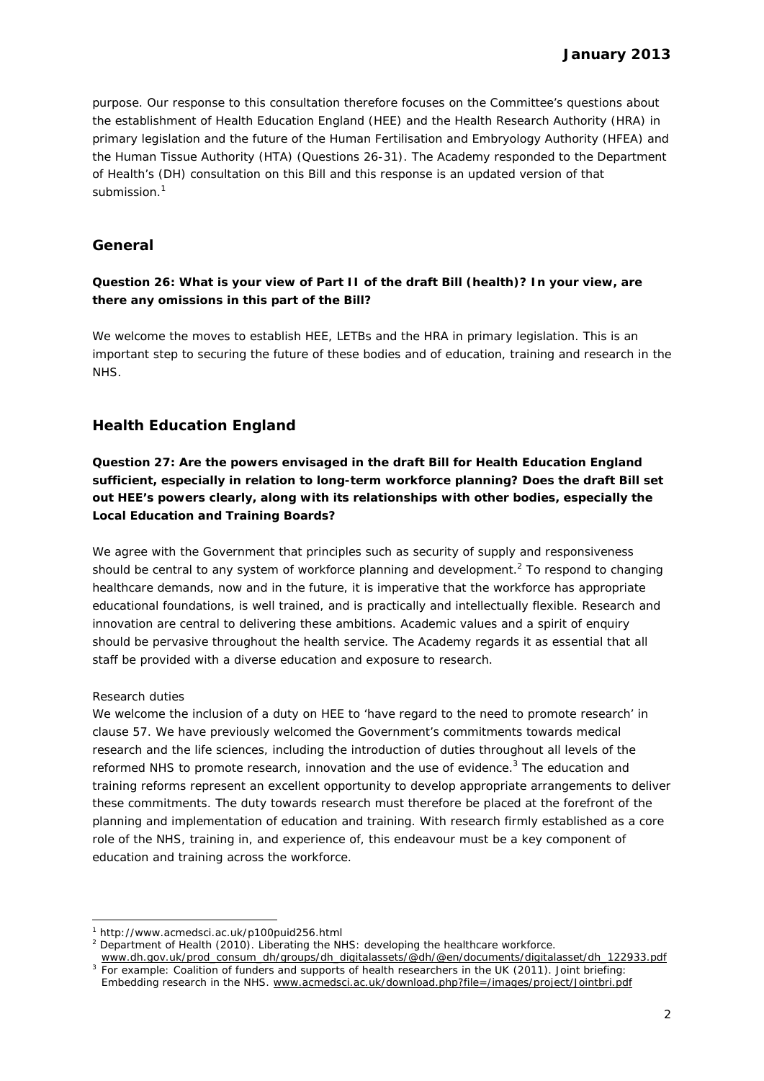purpose. Our response to this consultation therefore focuses on the Committee's questions about the establishment of Health Education England (HEE) and the Health Research Authority (HRA) in primary legislation and the future of the Human Fertilisation and Embryology Authority (HFEA) and the Human Tissue Authority (HTA) (Questions 26-31). The Academy responded to the Department of Health's (DH) consultation on this Bill and this response is an updated version of that submission.<sup>1</sup>

# **General**

### *Question 26: What is your view of Part II of the draft Bill (health)? In your view, are there any omissions in this part of the Bill?*

We welcome the moves to establish HEE, LETBs and the HRA in primary legislation. This is an important step to securing the future of these bodies and of education, training and research in the NHS.

# **Health Education England**

*Question 27: Are the powers envisaged in the draft Bill for Health Education England sufficient, especially in relation to long-term workforce planning? Does the draft Bill set out HEE's powers clearly, along with its relationships with other bodies, especially the Local Education and Training Boards?* 

We agree with the Government that principles such as security of supply and responsiveness should be central to any system of workforce planning and development.<sup>2</sup> To respond to changing healthcare demands, now and in the future, it is imperative that the workforce has appropriate educational foundations, is well trained, and is practically and intellectually flexible. Research and innovation are central to delivering these ambitions. Academic values and a spirit of enquiry should be pervasive throughout the health service. The Academy regards it as essential that all staff be provided with a diverse education and exposure to research.

#### *Research duties*

-

We welcome the inclusion of a duty on HEE to 'have regard to the need to promote research' in clause 57. We have previously welcomed the Government's commitments towards medical research and the life sciences, including the introduction of duties throughout all levels of the reformed NHS to promote research, innovation and the use of evidence. $3$  The education and training reforms represent an excellent opportunity to develop appropriate arrangements to deliver these commitments. The duty towards research must therefore be placed at the forefront of the planning and implementation of education and training. With research firmly established as a core role of the NHS, training in, and experience of, this endeavour must be a key component of education and training across the workforce.

www.dh.gov.uk/prod\_consum\_dh/groups/dh\_digitalassets/@dh/@en/documents/digitalasset/dh\_122933.pdf 3 For example: Coalition of funders and supports of health researchers in the UK (2011)*. Joint briefing:* 

<sup>1</sup> http://www.acmedsci.ac.uk/p100puid256.html

<sup>2</sup> Department of Health (2010). *Liberating the NHS: developing the healthcare workforce.* 

*Embedding research in the NHS*. www.acmedsci.ac.uk/download.php?file=/images/project/Jointbri.pdf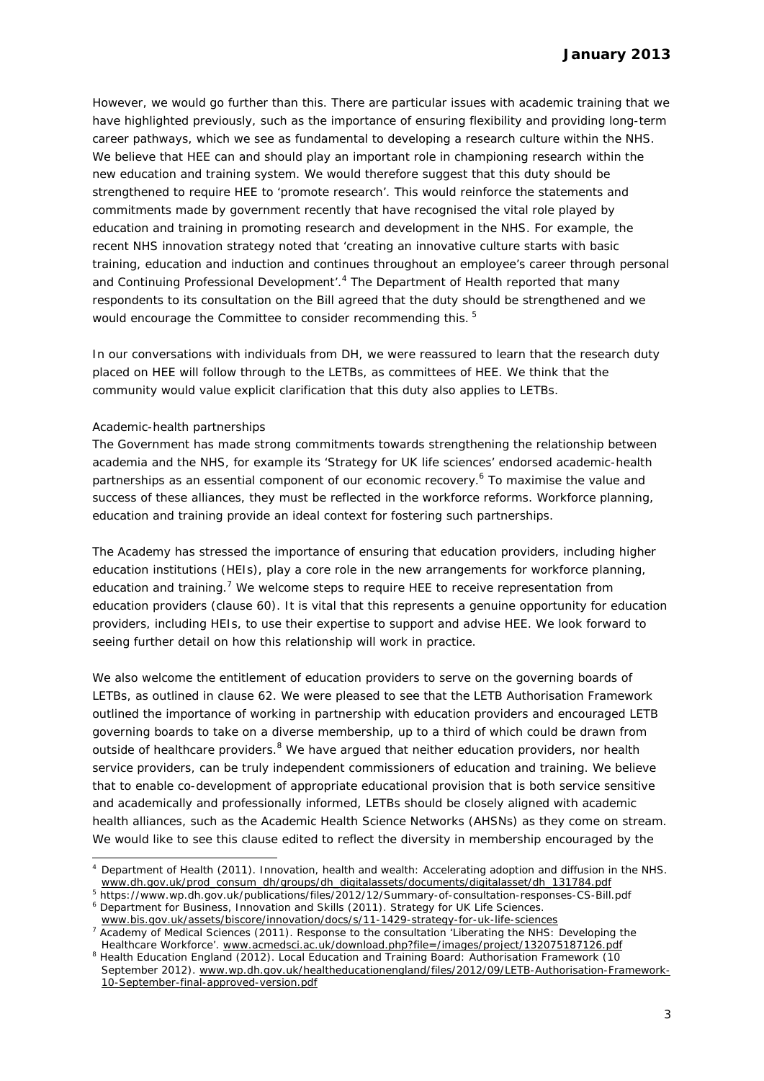However, we would go further than this. There are particular issues with academic training that we have highlighted previously, such as the importance of ensuring flexibility and providing long-term career pathways, which we see as fundamental to developing a research culture within the NHS. We believe that HEE can and should play an important role in championing research within the new education and training system. We would therefore suggest that this duty should be strengthened to require HEE to 'promote research'. This would reinforce the statements and commitments made by government recently that have recognised the vital role played by education and training in promoting research and development in the NHS. For example, the recent NHS innovation strategy noted that 'creating an innovative culture starts with basic training, education and induction and continues throughout an employee's career through personal and Continuing Professional Development<sup>', 4</sup> The Department of Health reported that many respondents to its consultation on the Bill agreed that the duty should be strengthened and we would encourage the Committee to consider recommending this.<sup>5</sup>

In our conversations with individuals from DH, we were reassured to learn that the research duty placed on HEE will follow through to the LETBs, as committees of HEE. We think that the community would value explicit clarification that this duty also applies to LETBs.

#### *Academic-health partnerships*

-

The Government has made strong commitments towards strengthening the relationship between academia and the NHS, for example its 'Strategy for UK life sciences' endorsed academic-health partnerships as an essential component of our economic recovery.<sup>6</sup> To maximise the value and success of these alliances, they must be reflected in the workforce reforms. Workforce planning, education and training provide an ideal context for fostering such partnerships.

The Academy has stressed the importance of ensuring that education providers, including higher education institutions (HEIs), play a core role in the new arrangements for workforce planning, education and training.<sup>7</sup> We welcome steps to require HEE to receive representation from education providers (clause 60). It is vital that this represents a genuine opportunity for education providers, including HEIs, to use their expertise to support and advise HEE. We look forward to seeing further detail on how this relationship will work in practice.

We also welcome the entitlement of education providers to serve on the governing boards of LETBs, as outlined in clause 62. We were pleased to see that the LETB Authorisation Framework outlined the importance of working in partnership with education providers and encouraged LETB governing boards to take on a diverse membership, up to a third of which could be drawn from outside of healthcare providers.<sup>8</sup> We have argued that neither education providers, nor health service providers, can be truly independent commissioners of education and training. We believe that to enable co-development of appropriate educational provision that is both service sensitive and academically and professionally informed, LETBs should be closely aligned with academic health alliances, such as the Academic Health Science Networks (AHSNs) as they come on stream. We would like to see this clause edited to reflect the diversity in membership encouraged by the

<sup>4</sup> Department of Health (2011). *Innovation, health and wealth: Accelerating adoption and diffusion in the NHS.*  www.dh.gov.uk/prod\_consum\_dh/groups/dh\_digitalassets/documents/digitalasset/dh\_131784.pdf

<sup>&</sup>lt;sup>5</sup> https://www.wp.dh.gov.uk/publications/files/2012/12/Summary-of-consultation-responses-CS-Bill.pdf<br><sup>6</sup> Department for Business, Japovation and Skills (2011), Strategy for UK Life Sciences <sup>6</sup> Department for Business, Innovation and Skills (2011). Strategy for UK Life Sciences.

www.bis.gov.uk/assets/biscore/innovation/docs/s/11-1429-strategy-for-uk-life-sciences <sup>7</sup> Academy of Medical Sciences (2011). Response to the consultation 'Liberating the NHS: Developing the

Healthcare Workforce'. www.acmedsci.ac.uk/download.php?file=/images/project/132075187126.pdf Health Education England (2012). *Local Education and Training Board: Authorisation Framework (10 September 2012).* www.wp.dh.gov.uk/healtheducationengland/files/2012/09/LETB-Authorisation-Framework-10-September-final-approved-version.pdf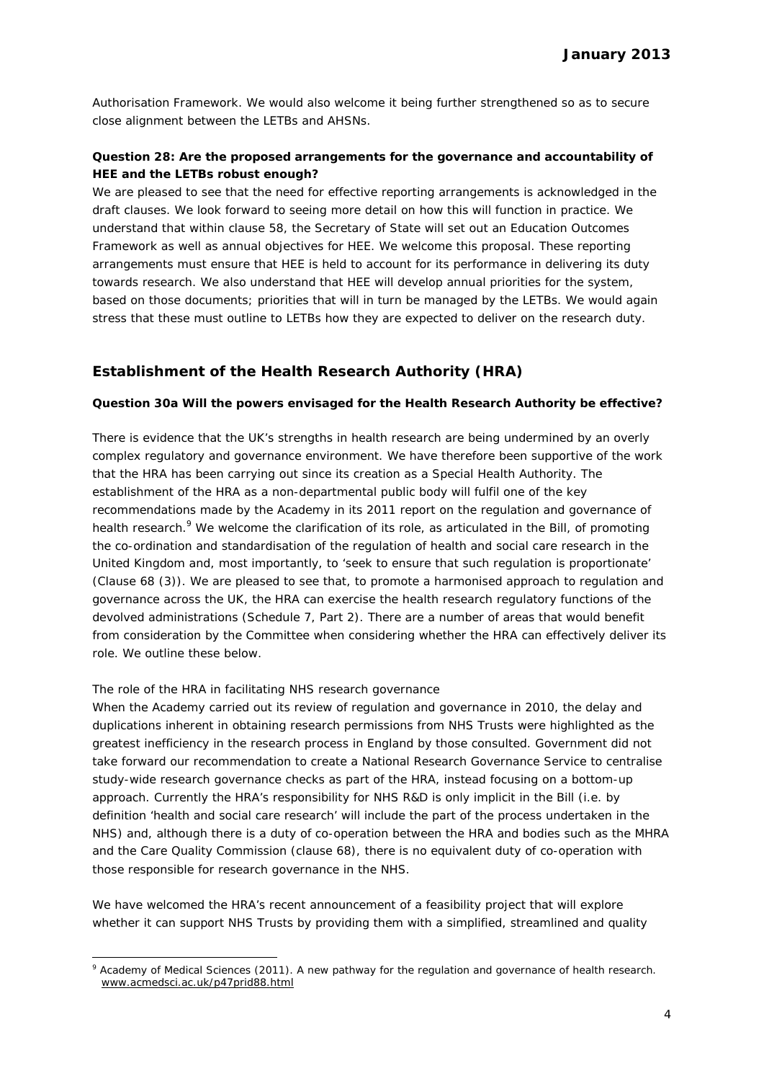Authorisation Framework. We would also welcome it being further strengthened so as to secure close alignment between the LETBs and AHSNs.

### *Question 28: Are the proposed arrangements for the governance and accountability of HEE and the LETBs robust enough?*

We are pleased to see that the need for effective reporting arrangements is acknowledged in the draft clauses. We look forward to seeing more detail on how this will function in practice. We understand that within clause 58, the Secretary of State will set out an Education Outcomes Framework as well as annual objectives for HEE. We welcome this proposal. These reporting arrangements must ensure that HEE is held to account for its performance in delivering its duty towards research. We also understand that HEE will develop annual priorities for the system, based on those documents; priorities that will in turn be managed by the LETBs. We would again stress that these must outline to LETBs how they are expected to deliver on the research duty.

# **Establishment of the Health Research Authority (HRA)**

#### *Question 30a Will the powers envisaged for the Health Research Authority be effective?*

There is evidence that the UK's strengths in health research are being undermined by an overly complex regulatory and governance environment. We have therefore been supportive of the work that the HRA has been carrying out since its creation as a Special Health Authority. The establishment of the HRA as a non-departmental public body will fulfil one of the key recommendations made by the Academy in its 2011 report on the regulation and governance of health research.<sup>9</sup> We welcome the clarification of its role, as articulated in the Bill, of promoting the co-ordination and standardisation of the regulation of health and social care research in the United Kingdom and, most importantly, to 'seek to ensure that such regulation is proportionate' (Clause 68 (3)). We are pleased to see that, to promote a harmonised approach to regulation and governance across the UK, the HRA can exercise the health research regulatory functions of the devolved administrations (Schedule 7, Part 2). There are a number of areas that would benefit from consideration by the Committee when considering whether the HRA can effectively deliver its role. We outline these below.

#### *The role of the HRA in facilitating NHS research governance*

-

When the Academy carried out its review of regulation and governance in 2010, the delay and duplications inherent in obtaining research permissions from NHS Trusts were highlighted as the greatest inefficiency in the research process in England by those consulted. Government did not take forward our recommendation to create a National Research Governance Service to centralise study-wide research governance checks as part of the HRA, instead focusing on a bottom-up approach. Currently the HRA's responsibility for NHS R&D is only implicit in the Bill (i.e. by definition 'health and social care research' will include the part of the process undertaken in the NHS) and, although there is a duty of co-operation between the HRA and bodies such as the MHRA and the Care Quality Commission (clause 68), there is no equivalent duty of co-operation with those responsible for research governance in the NHS.

We have welcomed the HRA's recent announcement of a feasibility project that will explore whether it can support NHS Trusts by providing them with a simplified, streamlined and quality

<sup>9</sup> Academy of Medical Sciences (2011). *A new pathway for the regulation and governance of health research*. www.acmedsci.ac.uk/p47prid88.html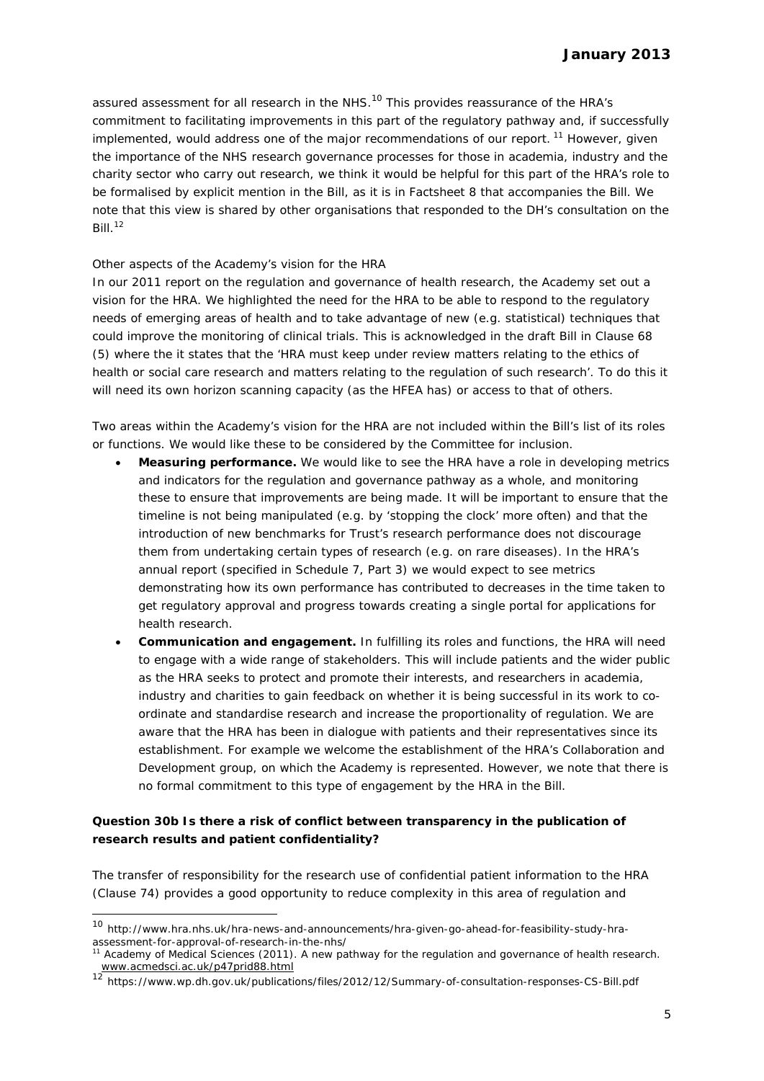assured assessment for all research in the NHS.<sup>10</sup> This provides reassurance of the HRA's commitment to facilitating improvements in this part of the regulatory pathway and, if successfully implemented, would address one of the major recommendations of our report.<sup>11</sup> However, given the importance of the NHS research governance processes for those in academia, industry and the charity sector who carry out research, we think it would be helpful for this part of the HRA's role to be formalised by explicit mention in the Bill, as it is in Factsheet 8 that accompanies the Bill. We note that this view is shared by other organisations that responded to the DH's consultation on the  $Bill.<sup>12</sup>$ 

#### *Other aspects of the Academy's vision for the HRA*

In our 2011 report on the regulation and governance of health research, the Academy set out a vision for the HRA. We highlighted the need for the HRA to be able to respond to the regulatory needs of emerging areas of health and to take advantage of new (e.g. statistical) techniques that could improve the monitoring of clinical trials. This is acknowledged in the draft Bill in Clause 68 (5) where the it states that the '*HRA must keep under review matters relating to the ethics of health or social care research and matters relating to the regulation of such research*'. To do this it will need its own horizon scanning capacity (as the HFEA has) or access to that of others.

Two areas within the Academy's vision for the HRA are not included within the Bill's list of its roles or functions. We would like these to be considered by the Committee for inclusion.

- **Measuring performance.** We would like to see the HRA have a role in developing metrics and indicators for the regulation and governance pathway as a whole, and monitoring these to ensure that improvements are being made. It will be important to ensure that the timeline is not being manipulated (e.g. by 'stopping the clock' more often) and that the introduction of new benchmarks for Trust's research performance does not discourage them from undertaking certain types of research (e.g. on rare diseases). In the HRA's annual report (specified in Schedule 7, Part 3) we would expect to see metrics demonstrating how its own performance has contributed to decreases in the time taken to get regulatory approval and progress towards creating a single portal for applications for health research.
- **Communication and engagement.** In fulfilling its roles and functions, the HRA will need to engage with a wide range of stakeholders. This will include patients and the wider public as the HRA seeks to protect and promote their interests, and researchers in academia, industry and charities to gain feedback on whether it is being successful in its work to coordinate and standardise research and increase the proportionality of regulation. We are aware that the HRA has been in dialogue with patients and their representatives since its establishment. For example we welcome the establishment of the HRA's Collaboration and Development group, on which the Academy is represented. However, we note that there is no formal commitment to this type of engagement by the HRA in the Bill.

### *Question 30b Is there a risk of conflict between transparency in the publication of research results and patient confidentiality?*

The transfer of responsibility for the research use of confidential patient information to the HRA (Clause 74) provides a good opportunity to reduce complexity in this area of regulation and

-

<sup>10</sup> http://www.hra.nhs.uk/hra-news-and-announcements/hra-given-go-ahead-for-feasibility-study-hraassessment-for-approval-of-research-in-the-nhs/

<sup>11</sup> Academy of Medical Sciences (2011). *A new pathway for the regulation and governance of health research*. www.acmedsci.ac.uk/p47prid88.html

<sup>12</sup> https://www.wp.dh.gov.uk/publications/files/2012/12/Summary-of-consultation-responses-CS-Bill.pdf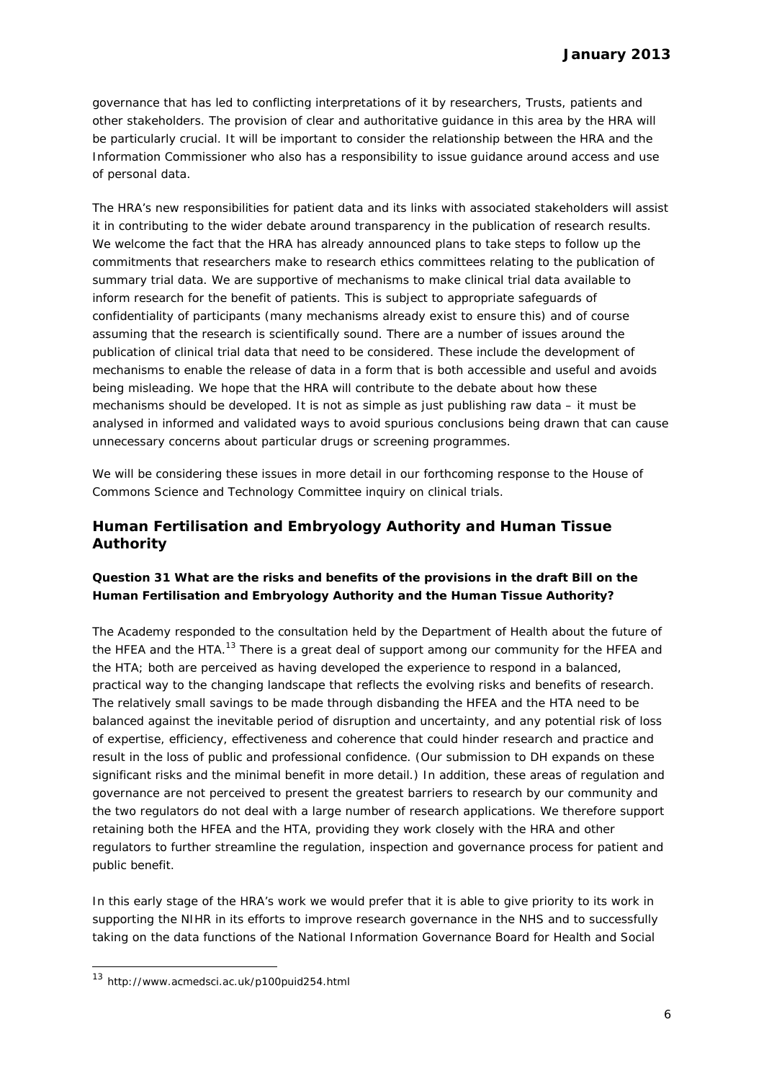governance that has led to conflicting interpretations of it by researchers, Trusts, patients and other stakeholders. The provision of clear and authoritative guidance in this area by the HRA will be particularly crucial. It will be important to consider the relationship between the HRA and the Information Commissioner who also has a responsibility to issue guidance around access and use of personal data.

The HRA's new responsibilities for patient data and its links with associated stakeholders will assist it in contributing to the wider debate around transparency in the publication of research results. We welcome the fact that the HRA has already announced plans to take steps to follow up the commitments that researchers make to research ethics committees relating to the publication of summary trial data. We are supportive of mechanisms to make clinical trial data available to inform research for the benefit of patients. This is subject to appropriate safeguards of confidentiality of participants (many mechanisms already exist to ensure this) and of course assuming that the research is scientifically sound. There are a number of issues around the publication of clinical trial data that need to be considered. These include the development of mechanisms to enable the release of data in a form that is both accessible and useful and avoids being misleading. We hope that the HRA will contribute to the debate about how these mechanisms should be developed. It is not as simple as just publishing raw data – it must be analysed in informed and validated ways to avoid spurious conclusions being drawn that can cause unnecessary concerns about particular drugs or screening programmes.

We will be considering these issues in more detail in our forthcoming response to the House of Commons Science and Technology Committee inquiry on clinical trials.

# **Human Fertilisation and Embryology Authority and Human Tissue Authority**

### *Question 31 What are the risks and benefits of the provisions in the draft Bill on the Human Fertilisation and Embryology Authority and the Human Tissue Authority?*

The Academy responded to the consultation held by the Department of Health about the future of the HFEA and the HTA.<sup>13</sup> There is a great deal of support among our community for the HFEA and the HTA; both are perceived as having developed the experience to respond in a balanced, practical way to the changing landscape that reflects the evolving risks and benefits of research. The relatively small savings to be made through disbanding the HFEA and the HTA need to be balanced against the inevitable period of disruption and uncertainty, and any potential risk of loss of expertise, efficiency, effectiveness and coherence that could hinder research and practice and result in the loss of public and professional confidence. (Our submission to DH expands on these significant risks and the minimal benefit in more detail.) In addition, these areas of regulation and governance are not perceived to present the greatest barriers to research by our community and the two regulators do not deal with a large number of research applications. We therefore support retaining both the HFEA and the HTA, providing they work closely with the HRA and other regulators to further streamline the regulation, inspection and governance process for patient and public benefit.

In this early stage of the HRA's work we would prefer that it is able to give priority to its work in supporting the NIHR in its efforts to improve research governance in the NHS and to successfully taking on the data functions of the National Information Governance Board for Health and Social

-

<sup>13</sup> http://www.acmedsci.ac.uk/p100puid254.html